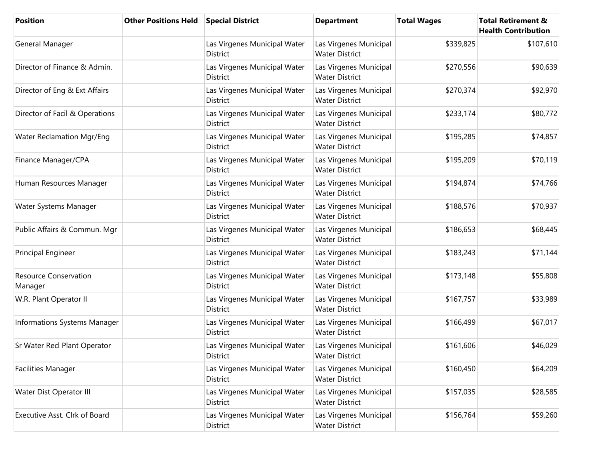| <b>Position</b>                         | <b>Other Positions Held</b> | <b>Special District</b>                         | <b>Department</b>                               | <b>Total Wages</b> | <b>Total Retirement &amp;</b><br><b>Health Contribution</b> |
|-----------------------------------------|-----------------------------|-------------------------------------------------|-------------------------------------------------|--------------------|-------------------------------------------------------------|
| General Manager                         |                             | Las Virgenes Municipal Water<br>District        | Las Virgenes Municipal<br><b>Water District</b> | \$339,825          | \$107,610                                                   |
| Director of Finance & Admin.            |                             | Las Virgenes Municipal Water<br>District        | Las Virgenes Municipal<br><b>Water District</b> | \$270,556          | \$90,639                                                    |
| Director of Eng & Ext Affairs           |                             | Las Virgenes Municipal Water<br><b>District</b> | Las Virgenes Municipal<br><b>Water District</b> | \$270,374          | \$92,970                                                    |
| Director of Facil & Operations          |                             | Las Virgenes Municipal Water<br><b>District</b> | Las Virgenes Municipal<br><b>Water District</b> | \$233,174          | \$80,772                                                    |
| <b>Water Reclamation Mgr/Eng</b>        |                             | Las Virgenes Municipal Water<br><b>District</b> | Las Virgenes Municipal<br><b>Water District</b> | \$195,285          | \$74,857                                                    |
| Finance Manager/CPA                     |                             | Las Virgenes Municipal Water<br><b>District</b> | Las Virgenes Municipal<br><b>Water District</b> | \$195,209          | \$70,119                                                    |
| Human Resources Manager                 |                             | Las Virgenes Municipal Water<br>District        | Las Virgenes Municipal<br><b>Water District</b> | \$194,874          | \$74,766                                                    |
| Water Systems Manager                   |                             | Las Virgenes Municipal Water<br>District        | Las Virgenes Municipal<br><b>Water District</b> | \$188,576          | \$70,937                                                    |
| Public Affairs & Commun. Mgr            |                             | Las Virgenes Municipal Water<br>District        | Las Virgenes Municipal<br><b>Water District</b> | \$186,653          | \$68,445                                                    |
| Principal Engineer                      |                             | Las Virgenes Municipal Water<br>District        | Las Virgenes Municipal<br><b>Water District</b> | \$183,243          | \$71,144                                                    |
| <b>Resource Conservation</b><br>Manager |                             | Las Virgenes Municipal Water<br>District        | Las Virgenes Municipal<br><b>Water District</b> | \$173,148          | \$55,808                                                    |
| W.R. Plant Operator II                  |                             | Las Virgenes Municipal Water<br><b>District</b> | Las Virgenes Municipal<br><b>Water District</b> | \$167,757          | \$33,989                                                    |
| Informations Systems Manager            |                             | Las Virgenes Municipal Water<br><b>District</b> | Las Virgenes Municipal<br><b>Water District</b> | \$166,499          | \$67,017                                                    |
| Sr Water Recl Plant Operator            |                             | Las Virgenes Municipal Water<br>District        | Las Virgenes Municipal<br><b>Water District</b> | \$161,606          | \$46,029                                                    |
| Facilities Manager                      |                             | Las Virgenes Municipal Water<br>District        | Las Virgenes Municipal<br><b>Water District</b> | \$160,450          | \$64,209                                                    |
| Water Dist Operator III                 |                             | Las Virgenes Municipal Water<br>District        | Las Virgenes Municipal<br><b>Water District</b> | \$157,035          | \$28,585                                                    |
| Executive Asst. Clrk of Board           |                             | Las Virgenes Municipal Water<br>District        | Las Virgenes Municipal<br><b>Water District</b> | \$156,764          | \$59,260                                                    |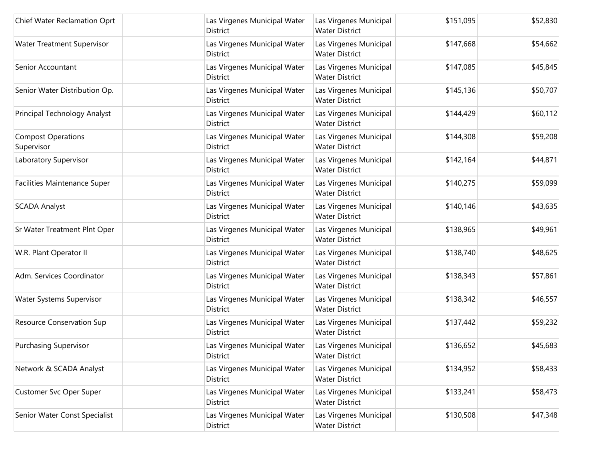| Chief Water Reclamation Oprt            | Las Virgenes Municipal Water<br>District        | Las Virgenes Municipal<br><b>Water District</b> | \$151,095 | \$52,830 |
|-----------------------------------------|-------------------------------------------------|-------------------------------------------------|-----------|----------|
| <b>Water Treatment Supervisor</b>       | Las Virgenes Municipal Water<br>District        | Las Virgenes Municipal<br><b>Water District</b> | \$147,668 | \$54,662 |
| Senior Accountant                       | Las Virgenes Municipal Water<br>District        | Las Virgenes Municipal<br><b>Water District</b> | \$147,085 | \$45,845 |
| Senior Water Distribution Op.           | Las Virgenes Municipal Water<br><b>District</b> | Las Virgenes Municipal<br><b>Water District</b> | \$145,136 | \$50,707 |
| Principal Technology Analyst            | Las Virgenes Municipal Water<br>District        | Las Virgenes Municipal<br><b>Water District</b> | \$144,429 | \$60,112 |
| <b>Compost Operations</b><br>Supervisor | Las Virgenes Municipal Water<br><b>District</b> | Las Virgenes Municipal<br><b>Water District</b> | \$144,308 | \$59,208 |
| Laboratory Supervisor                   | Las Virgenes Municipal Water<br><b>District</b> | Las Virgenes Municipal<br><b>Water District</b> | \$142,164 | \$44,871 |
| Facilities Maintenance Super            | Las Virgenes Municipal Water<br>District        | Las Virgenes Municipal<br><b>Water District</b> | \$140,275 | \$59,099 |
| <b>SCADA Analyst</b>                    | Las Virgenes Municipal Water<br>District        | Las Virgenes Municipal<br><b>Water District</b> | \$140,146 | \$43,635 |
| Sr Water Treatment Plnt Oper            | Las Virgenes Municipal Water<br>District        | Las Virgenes Municipal<br><b>Water District</b> | \$138,965 | \$49,961 |
| W.R. Plant Operator II                  | Las Virgenes Municipal Water<br><b>District</b> | Las Virgenes Municipal<br><b>Water District</b> | \$138,740 | \$48,625 |
| Adm. Services Coordinator               | Las Virgenes Municipal Water<br>District        | Las Virgenes Municipal<br><b>Water District</b> | \$138,343 | \$57,861 |
| Water Systems Supervisor                | Las Virgenes Municipal Water<br>District        | Las Virgenes Municipal<br><b>Water District</b> | \$138,342 | \$46,557 |
| Resource Conservation Sup               | Las Virgenes Municipal Water<br><b>District</b> | Las Virgenes Municipal<br><b>Water District</b> | \$137,442 | \$59,232 |
| Purchasing Supervisor                   | Las Virgenes Municipal Water<br>District        | Las Virgenes Municipal<br><b>Water District</b> | \$136,652 | \$45,683 |
| Network & SCADA Analyst                 | Las Virgenes Municipal Water<br>District        | Las Virgenes Municipal<br><b>Water District</b> | \$134,952 | \$58,433 |
| <b>Customer Svc Oper Super</b>          | Las Virgenes Municipal Water<br>District        | Las Virgenes Municipal<br><b>Water District</b> | \$133,241 | \$58,473 |
| Senior Water Const Specialist           | Las Virgenes Municipal Water<br>District        | Las Virgenes Municipal<br><b>Water District</b> | \$130,508 | \$47,348 |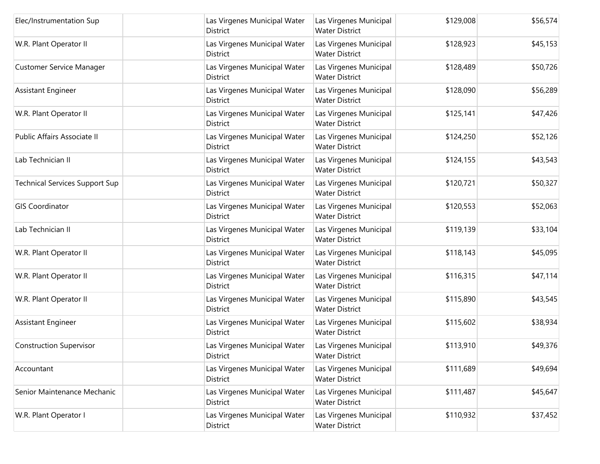| Elec/Instrumentation Sup              | Las Virgenes Municipal Water<br>District        | Las Virgenes Municipal<br><b>Water District</b> | \$129,008 | \$56,574 |
|---------------------------------------|-------------------------------------------------|-------------------------------------------------|-----------|----------|
| W.R. Plant Operator II                | Las Virgenes Municipal Water<br>District        | Las Virgenes Municipal<br><b>Water District</b> | \$128,923 | \$45,153 |
| Customer Service Manager              | Las Virgenes Municipal Water<br>District        | Las Virgenes Municipal<br><b>Water District</b> | \$128,489 | \$50,726 |
| Assistant Engineer                    | Las Virgenes Municipal Water<br>District        | Las Virgenes Municipal<br><b>Water District</b> | \$128,090 | \$56,289 |
| W.R. Plant Operator II                | Las Virgenes Municipal Water<br>District        | Las Virgenes Municipal<br><b>Water District</b> | \$125,141 | \$47,426 |
| Public Affairs Associate II           | Las Virgenes Municipal Water<br>District        | Las Virgenes Municipal<br><b>Water District</b> | \$124,250 | \$52,126 |
| Lab Technician II                     | Las Virgenes Municipal Water<br><b>District</b> | Las Virgenes Municipal<br><b>Water District</b> | \$124,155 | \$43,543 |
| <b>Technical Services Support Sup</b> | Las Virgenes Municipal Water<br>District        | Las Virgenes Municipal<br><b>Water District</b> | \$120,721 | \$50,327 |
| <b>GIS Coordinator</b>                | Las Virgenes Municipal Water<br>District        | Las Virgenes Municipal<br><b>Water District</b> | \$120,553 | \$52,063 |
| Lab Technician II                     | Las Virgenes Municipal Water<br>District        | Las Virgenes Municipal<br><b>Water District</b> | \$119,139 | \$33,104 |
| W.R. Plant Operator II                | Las Virgenes Municipal Water<br>District        | Las Virgenes Municipal<br><b>Water District</b> | \$118,143 | \$45,095 |
| W.R. Plant Operator II                | Las Virgenes Municipal Water<br>District        | Las Virgenes Municipal<br><b>Water District</b> | \$116,315 | \$47,114 |
| W.R. Plant Operator II                | Las Virgenes Municipal Water<br>District        | Las Virgenes Municipal<br><b>Water District</b> | \$115,890 | \$43,545 |
| Assistant Engineer                    | Las Virgenes Municipal Water<br>District        | Las Virgenes Municipal<br><b>Water District</b> | \$115,602 | \$38,934 |
| <b>Construction Supervisor</b>        | Las Virgenes Municipal Water<br><b>District</b> | Las Virgenes Municipal<br><b>Water District</b> | \$113,910 | \$49,376 |
| Accountant                            | Las Virgenes Municipal Water<br>District        | Las Virgenes Municipal<br><b>Water District</b> | \$111,689 | \$49,694 |
| Senior Maintenance Mechanic           | Las Virgenes Municipal Water<br>District        | Las Virgenes Municipal<br><b>Water District</b> | \$111,487 | \$45,647 |
| W.R. Plant Operator I                 | Las Virgenes Municipal Water<br>District        | Las Virgenes Municipal<br><b>Water District</b> | \$110,932 | \$37,452 |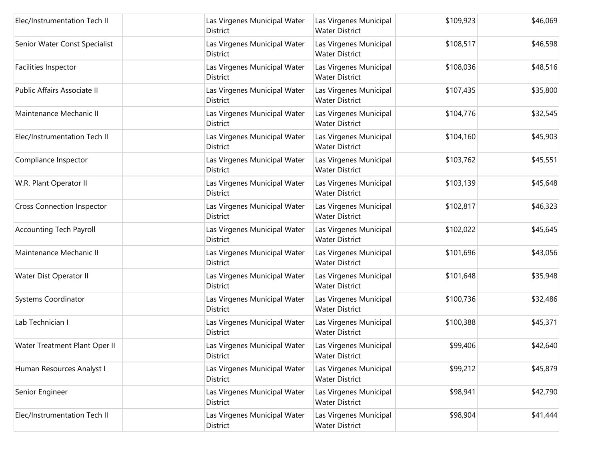| Elec/Instrumentation Tech II      | Las Virgenes Municipal Water<br>District        | Las Virgenes Municipal<br><b>Water District</b> | \$109,923 | \$46,069 |
|-----------------------------------|-------------------------------------------------|-------------------------------------------------|-----------|----------|
| Senior Water Const Specialist     | Las Virgenes Municipal Water<br>District        | Las Virgenes Municipal<br><b>Water District</b> | \$108,517 | \$46,598 |
| Facilities Inspector              | Las Virgenes Municipal Water<br>District        | Las Virgenes Municipal<br><b>Water District</b> | \$108,036 | \$48,516 |
| Public Affairs Associate II       | Las Virgenes Municipal Water<br><b>District</b> | Las Virgenes Municipal<br><b>Water District</b> | \$107,435 | \$35,800 |
| Maintenance Mechanic II           | Las Virgenes Municipal Water<br>District        | Las Virgenes Municipal<br><b>Water District</b> | \$104,776 | \$32,545 |
| Elec/Instrumentation Tech II      | Las Virgenes Municipal Water<br><b>District</b> | Las Virgenes Municipal<br><b>Water District</b> | \$104,160 | \$45,903 |
| Compliance Inspector              | Las Virgenes Municipal Water<br><b>District</b> | Las Virgenes Municipal<br><b>Water District</b> | \$103,762 | \$45,551 |
| W.R. Plant Operator II            | Las Virgenes Municipal Water<br>District        | Las Virgenes Municipal<br><b>Water District</b> | \$103,139 | \$45,648 |
| <b>Cross Connection Inspector</b> | Las Virgenes Municipal Water<br>District        | Las Virgenes Municipal<br><b>Water District</b> | \$102,817 | \$46,323 |
| <b>Accounting Tech Payroll</b>    | Las Virgenes Municipal Water<br>District        | Las Virgenes Municipal<br><b>Water District</b> | \$102,022 | \$45,645 |
| Maintenance Mechanic II           | Las Virgenes Municipal Water<br>District        | Las Virgenes Municipal<br><b>Water District</b> | \$101,696 | \$43,056 |
| Water Dist Operator II            | Las Virgenes Municipal Water<br>District        | Las Virgenes Municipal<br><b>Water District</b> | \$101,648 | \$35,948 |
| <b>Systems Coordinator</b>        | Las Virgenes Municipal Water<br>District        | Las Virgenes Municipal<br><b>Water District</b> | \$100,736 | \$32,486 |
| Lab Technician I                  | Las Virgenes Municipal Water<br><b>District</b> | Las Virgenes Municipal<br><b>Water District</b> | \$100,388 | \$45,371 |
| Water Treatment Plant Oper II     | Las Virgenes Municipal Water<br>District        | Las Virgenes Municipal<br><b>Water District</b> | \$99,406  | \$42,640 |
| Human Resources Analyst I         | Las Virgenes Municipal Water<br>District        | Las Virgenes Municipal<br><b>Water District</b> | \$99,212  | \$45,879 |
| Senior Engineer                   | Las Virgenes Municipal Water<br>District        | Las Virgenes Municipal<br><b>Water District</b> | \$98,941  | \$42,790 |
| Elec/Instrumentation Tech II      | Las Virgenes Municipal Water<br>District        | Las Virgenes Municipal<br><b>Water District</b> | \$98,904  | \$41,444 |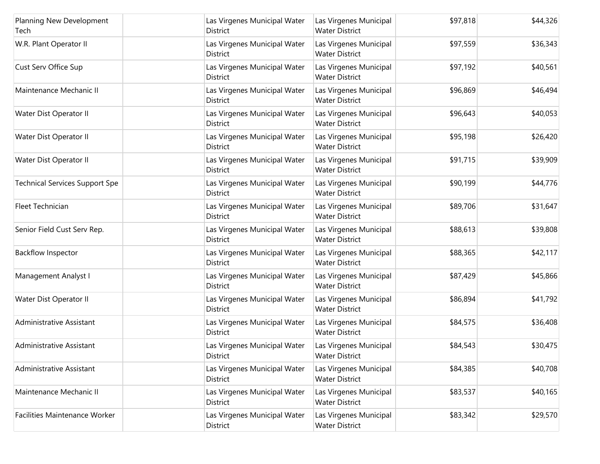| Planning New Development<br>Tech      | Las Virgenes Municipal Water<br>District        | Las Virgenes Municipal<br><b>Water District</b> | \$97,818 | \$44,326 |
|---------------------------------------|-------------------------------------------------|-------------------------------------------------|----------|----------|
| W.R. Plant Operator II                | Las Virgenes Municipal Water<br>District        | Las Virgenes Municipal<br><b>Water District</b> | \$97,559 | \$36,343 |
| Cust Serv Office Sup                  | Las Virgenes Municipal Water<br>District        | Las Virgenes Municipal<br><b>Water District</b> | \$97,192 | \$40,561 |
| Maintenance Mechanic II               | Las Virgenes Municipal Water<br>District        | Las Virgenes Municipal<br><b>Water District</b> | \$96,869 | \$46,494 |
| Water Dist Operator II                | Las Virgenes Municipal Water<br><b>District</b> | Las Virgenes Municipal<br><b>Water District</b> | \$96,643 | \$40,053 |
| Water Dist Operator II                | Las Virgenes Municipal Water<br>District        | Las Virgenes Municipal<br><b>Water District</b> | \$95,198 | \$26,420 |
| Water Dist Operator II                | Las Virgenes Municipal Water<br><b>District</b> | Las Virgenes Municipal<br><b>Water District</b> | \$91,715 | \$39,909 |
| <b>Technical Services Support Spe</b> | Las Virgenes Municipal Water<br>District        | Las Virgenes Municipal<br><b>Water District</b> | \$90,199 | \$44,776 |
| Fleet Technician                      | Las Virgenes Municipal Water<br>District        | Las Virgenes Municipal<br><b>Water District</b> | \$89,706 | \$31,647 |
| Senior Field Cust Serv Rep.           | Las Virgenes Municipal Water<br>District        | Las Virgenes Municipal<br><b>Water District</b> | \$88,613 | \$39,808 |
| <b>Backflow Inspector</b>             | Las Virgenes Municipal Water<br>District        | Las Virgenes Municipal<br><b>Water District</b> | \$88,365 | \$42,117 |
| Management Analyst I                  | Las Virgenes Municipal Water<br>District        | Las Virgenes Municipal<br><b>Water District</b> | \$87,429 | \$45,866 |
| Water Dist Operator II                | Las Virgenes Municipal Water<br>District        | Las Virgenes Municipal<br><b>Water District</b> | \$86,894 | \$41,792 |
| Administrative Assistant              | Las Virgenes Municipal Water<br><b>District</b> | Las Virgenes Municipal<br><b>Water District</b> | \$84,575 | \$36,408 |
| Administrative Assistant              | Las Virgenes Municipal Water<br><b>District</b> | Las Virgenes Municipal<br><b>Water District</b> | \$84,543 | \$30,475 |
| Administrative Assistant              | Las Virgenes Municipal Water<br>District        | Las Virgenes Municipal<br><b>Water District</b> | \$84,385 | \$40,708 |
| Maintenance Mechanic II               | Las Virgenes Municipal Water<br><b>District</b> | Las Virgenes Municipal<br><b>Water District</b> | \$83,537 | \$40,165 |
| Facilities Maintenance Worker         | Las Virgenes Municipal Water<br>District        | Las Virgenes Municipal<br><b>Water District</b> | \$83,342 | \$29,570 |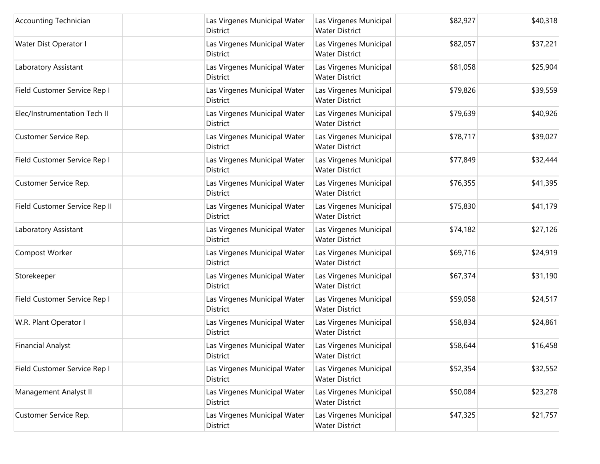| <b>Accounting Technician</b>  | Las Virgenes Municipal Water<br>District        | Las Virgenes Municipal<br><b>Water District</b> | \$82,927 | \$40,318 |
|-------------------------------|-------------------------------------------------|-------------------------------------------------|----------|----------|
| Water Dist Operator I         | Las Virgenes Municipal Water<br>District        | Las Virgenes Municipal<br><b>Water District</b> | \$82,057 | \$37,221 |
| Laboratory Assistant          | Las Virgenes Municipal Water<br>District        | Las Virgenes Municipal<br><b>Water District</b> | \$81,058 | \$25,904 |
| Field Customer Service Rep I  | Las Virgenes Municipal Water<br>District        | Las Virgenes Municipal<br><b>Water District</b> | \$79,826 | \$39,559 |
| Elec/Instrumentation Tech II  | Las Virgenes Municipal Water<br><b>District</b> | Las Virgenes Municipal<br><b>Water District</b> | \$79,639 | \$40,926 |
| Customer Service Rep.         | Las Virgenes Municipal Water<br>District        | Las Virgenes Municipal<br><b>Water District</b> | \$78,717 | \$39,027 |
| Field Customer Service Rep I  | Las Virgenes Municipal Water<br><b>District</b> | Las Virgenes Municipal<br><b>Water District</b> | \$77,849 | \$32,444 |
| Customer Service Rep.         | Las Virgenes Municipal Water<br>District        | Las Virgenes Municipal<br><b>Water District</b> | \$76,355 | \$41,395 |
| Field Customer Service Rep II | Las Virgenes Municipal Water<br>District        | Las Virgenes Municipal<br><b>Water District</b> | \$75,830 | \$41,179 |
| Laboratory Assistant          | Las Virgenes Municipal Water<br>District        | Las Virgenes Municipal<br><b>Water District</b> | \$74,182 | \$27,126 |
| Compost Worker                | Las Virgenes Municipal Water<br>District        | Las Virgenes Municipal<br><b>Water District</b> | \$69,716 | \$24,919 |
| Storekeeper                   | Las Virgenes Municipal Water<br><b>District</b> | Las Virgenes Municipal<br><b>Water District</b> | \$67,374 | \$31,190 |
| Field Customer Service Rep I  | Las Virgenes Municipal Water<br>District        | Las Virgenes Municipal<br><b>Water District</b> | \$59,058 | \$24,517 |
| W.R. Plant Operator I         | Las Virgenes Municipal Water<br><b>District</b> | Las Virgenes Municipal<br><b>Water District</b> | \$58,834 | \$24,861 |
| <b>Financial Analyst</b>      | Las Virgenes Municipal Water<br><b>District</b> | Las Virgenes Municipal<br><b>Water District</b> | \$58,644 | \$16,458 |
| Field Customer Service Rep I  | Las Virgenes Municipal Water<br>District        | Las Virgenes Municipal<br><b>Water District</b> | \$52,354 | \$32,552 |
| Management Analyst II         | Las Virgenes Municipal Water<br><b>District</b> | Las Virgenes Municipal<br><b>Water District</b> | \$50,084 | \$23,278 |
| Customer Service Rep.         | Las Virgenes Municipal Water<br>District        | Las Virgenes Municipal<br><b>Water District</b> | \$47,325 | \$21,757 |